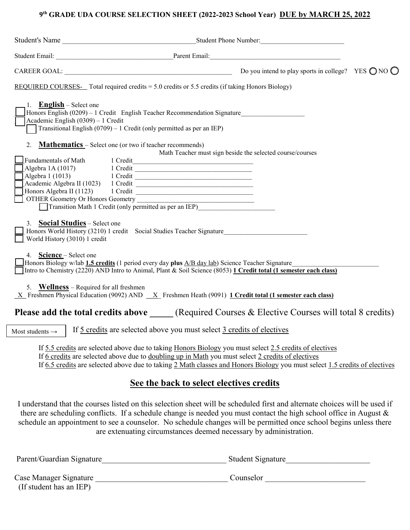#### **9th GRADE UDA COURSE SELECTION SHEET (2022-2023 School Year) DUE by MARCH 25, 2022**

| REQUIRED COURSES- Total required credits $= 5.0$ credits or 5.5 credits (if taking Honors Biology)                                                                                                                                                                                                                                         |                                                           |  |
|--------------------------------------------------------------------------------------------------------------------------------------------------------------------------------------------------------------------------------------------------------------------------------------------------------------------------------------------|-----------------------------------------------------------|--|
| 1. <b>English</b> – Select one<br>Honors English (0209) - 1 Credit English Teacher Recommendation Signature<br>Academic English (0309) - 1 Credit<br>Transitional English $(0709) - 1$ Credit (only permitted as per an IEP)                                                                                                               |                                                           |  |
| <b>Mathematics</b> – Select one (or two if teacher recommends)<br>2.                                                                                                                                                                                                                                                                       |                                                           |  |
| Trundamentals of Math<br>Algebra 1A (1017) 1 Credit<br>Algebra 1 (1013) 1 Credit<br>Academic Algebra II (1023) 1 Credit<br>Academic Algebra II (1023) 1 Credit<br>Honors Algebra II (1123) 1 Credit 2008<br>OTHER Geometry Or Honors Geometry<br>Transition Math 1 Credit (only permitted as per an IEP)                                   | Math Teacher must sign beside the selected course/courses |  |
| 3. Social Studies - Select one<br>Honors World History (3210) 1 credit Social Studies Teacher Signature<br>World History (3010) 1 credit                                                                                                                                                                                                   |                                                           |  |
| 4. Science – Select one<br>Honors Biology w/lab 1.5 credits (1 period every day plus $A/B$ day lab) Science Teacher Signature<br>Intro to Chemistry (2220) AND Intro to Animal, Plant & Soil Science (8053) 1 Credit total (1 semester each class)                                                                                         |                                                           |  |
| 5. Wellness – Required for all freshmen<br>$X$ Freshmen Physical Education (9092) AND $X$ Freshmen Heath (9091) 1 Credit total (1 semester each class)                                                                                                                                                                                     |                                                           |  |
| Please add the total credits above _____ (Required Courses & Elective Courses will total 8 credits)                                                                                                                                                                                                                                        |                                                           |  |
| If 5 credits are selected above you must select 3 credits of electives<br>Most students $\rightarrow$                                                                                                                                                                                                                                      |                                                           |  |
| If 5.5 credits are selected above due to taking Honors Biology you must select 2.5 credits of electives<br>If 6 credits are selected above due to doubling up in Math you must select 2 credits of electives<br>If 6.5 credits are selected above due to taking 2 Math classes and Honors Biology you must select 1.5 credits of electives |                                                           |  |

#### **See the back to select electives credits**

I understand that the courses listed on this selection sheet will be scheduled first and alternate choices will be used if there are scheduling conflicts. If a schedule change is needed you must contact the high school office in August & schedule an appointment to see a counselor. No schedule changes will be permitted once school begins unless there are extenuating circumstances deemed necessary by administration.

| Parent/Guardian Signature | Student Signature |
|---------------------------|-------------------|
| Case Manager Signature    | Counselor         |
| (If student has an IEP)   |                   |